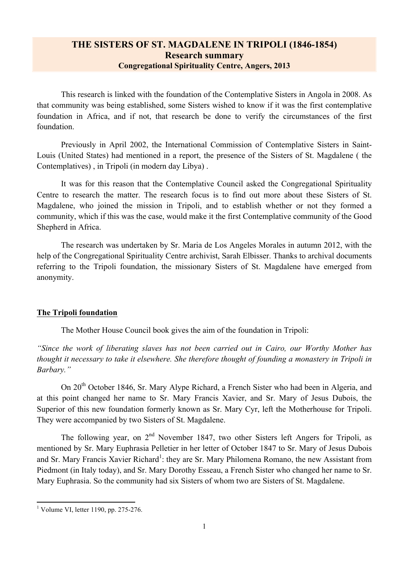# **THE SISTERS OF ST. MAGDALENE IN TRIPOLI (1846-1854) Research summary Congregational Spirituality Centre, Angers, 2013**

This research is linked with the foundation of the Contemplative Sisters in Angola in 2008. As that community was being established, some Sisters wished to know if it was the first contemplative foundation in Africa, and if not, that research be done to verify the circumstances of the first foundation.

Previously in April 2002, the International Commission of Contemplative Sisters in Saint-Louis (United States) had mentioned in a report, the presence of the Sisters of St. Magdalene ( the Contemplatives) , in Tripoli (in modern day Libya) .

It was for this reason that the Contemplative Council asked the Congregational Spirituality Centre to research the matter. The research focus is to find out more about these Sisters of St. Magdalene, who joined the mission in Tripoli, and to establish whether or not they formed a community, which if this was the case, would make it the first Contemplative community of the Good Shepherd in Africa.

The research was undertaken by Sr. Maria de Los Angeles Morales in autumn 2012, with the help of the Congregational Spirituality Centre archivist, Sarah Elbisser. Thanks to archival documents referring to the Tripoli foundation, the missionary Sisters of St. Magdalene have emerged from anonymity.

#### **The Tripoli foundation**

The Mother House Council book gives the aim of the foundation in Tripoli:

*"Since the work of liberating slaves has not been carried out in Cairo, our Worthy Mother has thought it necessary to take it elsewhere. She therefore thought of founding a monastery in Tripoli in Barbary."*

On 20<sup>th</sup> October 1846, Sr. Mary Alype Richard, a French Sister who had been in Algeria, and at this point changed her name to Sr. Mary Francis Xavier, and Sr. Mary of Jesus Dubois, the Superior of this new foundation formerly known as Sr. Mary Cyr, left the Motherhouse for Tripoli. They were accompanied by two Sisters of St. Magdalene.

The following year, on  $2<sup>nd</sup>$  November 1847, two other Sisters left Angers for Tripoli, as mentioned by Sr. Mary Euphrasia Pelletier in her letter of October 1847 to Sr. Mary of Jesus Dubois and Sr. Mary Francis Xavier Richard<sup>1</sup>: they are Sr. Mary Philomena Romano, the new Assistant from Piedmont (in Italy today), and Sr. Mary Dorothy Esseau, a French Sister who changed her name to Sr. Mary Euphrasia. So the community had six Sisters of whom two are Sisters of St. Magdalene.

 <sup>1</sup> Volume VI, letter 1190, pp. 275-276.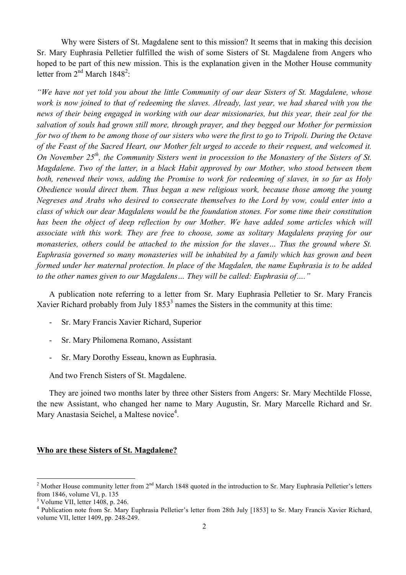Why were Sisters of St. Magdalene sent to this mission? It seems that in making this decision Sr. Mary Euphrasia Pelletier fulfilled the wish of some Sisters of St. Magdalene from Angers who hoped to be part of this new mission. This is the explanation given in the Mother House community letter from  $2<sup>nd</sup>$  March 1848<sup>2</sup>:

*"We have not yet told you about the little Community of our dear Sisters of St. Magdalene, whose work is now joined to that of redeeming the slaves. Already, last year, we had shared with you the news of their being engaged in working with our dear missionaries, but this year, their zeal for the salvation of souls had grown still more, through prayer, and they begged our Mother for permission for two of them to be among those of our sisters who were the first to go to Tripoli. During the Octave of the Feast of the Sacred Heart, our Mother felt urged to accede to their request, and welcomed it. On November 25th, the Community Sisters went in procession to the Monastery of the Sisters of St. Magdalene. Two of the latter, in a black Habit approved by our Mother, who stood between them both, renewed their vows, adding the Promise to work for redeeming of slaves, in so far as Holy Obedience would direct them. Thus began a new religious work, because those among the young Negreses and Arabs who desired to consecrate themselves to the Lord by vow, could enter into a class of which our dear Magdalens would be the foundation stones. For some time their constitution*  has been the object of deep reflection by our Mother. We have added some articles which will *associate with this work. They are free to choose, some as solitary Magdalens praying for our monasteries, others could be attached to the mission for the slaves… Thus the ground where St. Euphrasia governed so many monasteries will be inhabited by a family which has grown and been formed under her maternal protection. In place of the Magdalen, the name Euphrasia is to be added to the other names given to our Magdalens… They will be called: Euphrasia of…."*

A publication note referring to a letter from Sr. Mary Euphrasia Pelletier to Sr. Mary Francis Xavier Richard probably from July  $1853<sup>3</sup>$  names the Sisters in the community at this time:

- Sr. Mary Francis Xavier Richard, Superior
- Sr. Mary Philomena Romano, Assistant
- Sr. Mary Dorothy Esseau, known as Euphrasia.

And two French Sisters of St. Magdalene.

They are joined two months later by three other Sisters from Angers: Sr. Mary Mechtilde Flosse, the new Assistant, who changed her name to Mary Augustin, Sr. Mary Marcelle Richard and Sr. Mary Anastasia Seichel, a Maltese novice<sup>4</sup>.

### **Who are these Sisters of St. Magdalene?**

<sup>&</sup>lt;sup>2</sup> Mother House community letter from  $2^{nd}$  March 1848 quoted in the introduction to Sr. Mary Euphrasia Pelletier's letters from 1846, volume VI, p. 135

 $3$  Volume VII, letter 1408, p. 246.

<sup>&</sup>lt;sup>4</sup> Publication note from Sr. Mary Euphrasia Pelletier's letter from 28th July [1853] to Sr. Mary Francis Xavier Richard, volume VII, letter 1409, pp. 248-249.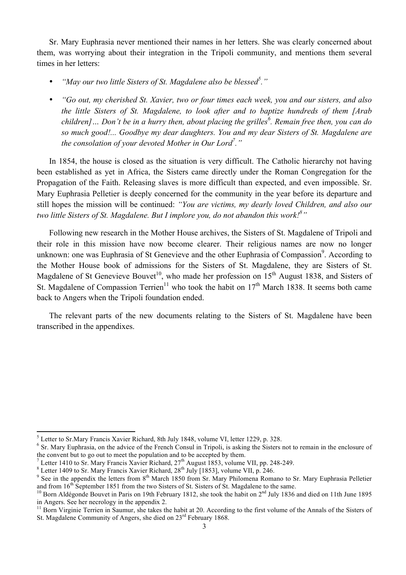Sr. Mary Euphrasia never mentioned their names in her letters. She was clearly concerned about them, was worrying about their integration in the Tripoli community, and mentions them several times in her letters:

• *"May our two little Sisters of St. Magdalene also be blessed5 ."*

• *"Go out, my cherished St. Xavier, two or four times each week, you and our sisters, and also the little Sisters of St. Magdalene, to look after and to baptize hundreds of them [Arab children]… Don't be in a hurry then, about placing the grilles<sup>6</sup> . Remain free then, you can do so much good!... Goodbye my dear daughters. You and my dear Sisters of St. Magdalene are the consolation of your devoted Mother in Our Lord7 ."*

In 1854, the house is closed as the situation is very difficult. The Catholic hierarchy not having been established as yet in Africa, the Sisters came directly under the Roman Congregation for the Propagation of the Faith. Releasing slaves is more difficult than expected, and even impossible. Sr. Mary Euphrasia Pelletier is deeply concerned for the community in the year before its departure and still hopes the mission will be continued: *"You are victims, my dearly loved Children, and also our*  two little Sisters of St. Magdalene. But I implore you, do not abandon this work!<sup>8</sup>"

Following new research in the Mother House archives, the Sisters of St. Magdalene of Tripoli and their role in this mission have now become clearer. Their religious names are now no longer unknown: one was Euphrasia of St Genevieve and the other Euphrasia of Compassion<sup>9</sup>. According to the Mother House book of admissions for the Sisters of St. Magdalene, they are Sisters of St. Magdalene of St Genevieve Bouvet<sup>10</sup>, who made her profession on  $15<sup>th</sup>$  August 1838, and Sisters of St. Magdalene of Compassion Terrien<sup>11</sup> who took the habit on  $17<sup>th</sup>$  March 1838. It seems both came back to Angers when the Tripoli foundation ended.

The relevant parts of the new documents relating to the Sisters of St. Magdalene have been transcribed in the appendixes.

 <sup>5</sup> Letter to Sr.Mary Francis Xavier Richard, 8th July 1848, volume VI, letter 1229, p. 328.

<sup>&</sup>lt;sup>6</sup> Sr. Mary Euphrasia, on the advice of the French Consul in Tripoli, is asking the Sisters not to remain in the enclosure of the convent but to go out to meet the population and to be accepted by them.<br><sup>7</sup> Letter 1410 to Sr. Mary Francis Xavier Richard,  $27<sup>th</sup>$  August 1853, volume VII, pp. 248-249.

<sup>&</sup>lt;sup>8</sup> Letter 1409 to Sr. Mary Francis Xavier Richard,  $28^{th}$  July [1853], volume VII, pp. 240-245.<br><sup>9</sup> See in the appendix the letters from  $8^{th}$  March 1850 from Sr. Mary Philomena Romano to Sr. Mary Euphrasia Pelletier a

<sup>&</sup>lt;sup>10</sup> Born Aldégonde Bouvet in Paris on 19th February 1812, she took the habit on  $2<sup>nd</sup>$  July 1836 and died on 11th June 1895 in Angers. See her necrology in the appendix 2.

<sup>&</sup>lt;sup>11</sup> Born Virginie Terrien in Saumur, she takes the habit at 20. According to the first volume of the Annals of the Sisters of St. Magdalene Community of Angers, she died on 23<sup>rd</sup> February 1868.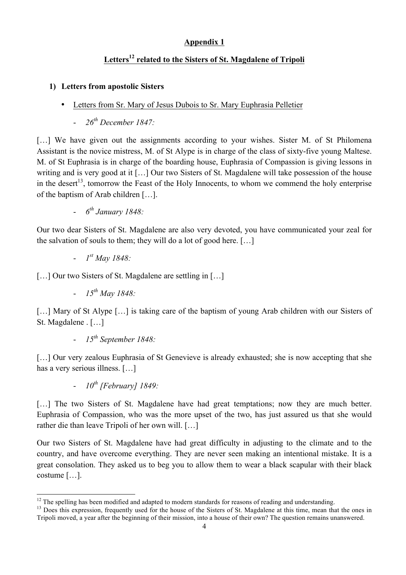# **Appendix 1**

# **Letters<sup>12</sup> related to the Sisters of St. Magdalene of Tripoli**

### **1) Letters from apostolic Sisters**

- Letters from Sr. Mary of Jesus Dubois to Sr. Mary Euphrasia Pelletier
	- *26th December 1847:*

[...] We have given out the assignments according to your wishes. Sister M, of St Philomena Assistant is the novice mistress, M. of St Alype is in charge of the class of sixty-five young Maltese. M. of St Euphrasia is in charge of the boarding house, Euphrasia of Compassion is giving lessons in writing and is very good at it […] Our two Sisters of St. Magdalene will take possession of the house in the desert<sup>13</sup>, tomorrow the Feast of the Holy Innocents, to whom we commend the holy enterprise of the baptism of Arab children […].

- *6th January 1848:*

Our two dear Sisters of St. Magdalene are also very devoted, you have communicated your zeal for the salvation of souls to them; they will do a lot of good here. […]

- *1st May 1848:*

[...] Our two Sisters of St. Magdalene are settling in [...]

- *15th May 1848:*

[...] Mary of St Alype [...] is taking care of the baptism of young Arab children with our Sisters of St. Magdalene . […]

- *15th September 1848:*

[...] Our very zealous Euphrasia of St Genevieve is already exhausted; she is now accepting that she has a very serious illness. […]

- *10th [February] 1849:*

<u> 1989 - Jan Samuel Barbara, margaret e</u>

[...] The two Sisters of St. Magdalene have had great temptations; now they are much better. Euphrasia of Compassion, who was the more upset of the two, has just assured us that she would rather die than leave Tripoli of her own will. […]

Our two Sisters of St. Magdalene have had great difficulty in adjusting to the climate and to the country, and have overcome everything. They are never seen making an intentional mistake. It is a great consolation. They asked us to beg you to allow them to wear a black scapular with their black costume […].

 $^{12}$  The spelling has been modified and adapted to modern standards for reasons of reading and understanding.<br><sup>13</sup> Does this expression, frequently used for the house of the Sisters of St. Magdalene at this time, mean t

Tripoli moved, a year after the beginning of their mission, into a house of their own? The question remains unanswered.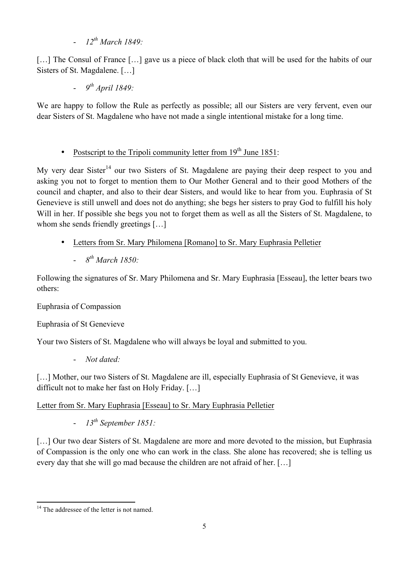- *12th March 1849:*

[...] The Consul of France [...] gave us a piece of black cloth that will be used for the habits of our Sisters of St. Magdalene. […]

- *9th April 1849:*

We are happy to follow the Rule as perfectly as possible; all our Sisters are very fervent, even our dear Sisters of St. Magdalene who have not made a single intentional mistake for a long time.

• Postscript to the Tripoli community letter from  $19<sup>th</sup>$  June 1851:

My very dear Sister<sup>14</sup> our two Sisters of St. Magdalene are paying their deep respect to you and asking you not to forget to mention them to Our Mother General and to their good Mothers of the council and chapter, and also to their dear Sisters, and would like to hear from you. Euphrasia of St Genevieve is still unwell and does not do anything; she begs her sisters to pray God to fulfill his holy Will in her. If possible she begs you not to forget them as well as all the Sisters of St. Magdalene, to whom she sends friendly greetings [...]

- Letters from Sr. Mary Philomena [Romano] to Sr. Mary Euphrasia Pelletier
	- *8th March 1850:*

Following the signatures of Sr. Mary Philomena and Sr. Mary Euphrasia [Esseau], the letter bears two others:

Euphrasia of Compassion

Euphrasia of St Genevieve

Your two Sisters of St. Magdalene who will always be loyal and submitted to you.

- *Not dated:*

[...] Mother, our two Sisters of St. Magdalene are ill, especially Euphrasia of St Genevieve, it was difficult not to make her fast on Holy Friday. […]

Letter from Sr. Mary Euphrasia [Esseau] to Sr. Mary Euphrasia Pelletier

- *13th September 1851:*

[...] Our two dear Sisters of St. Magdalene are more and more devoted to the mission, but Euphrasia of Compassion is the only one who can work in the class. She alone has recovered; she is telling us every day that she will go mad because the children are not afraid of her. […]

 <sup>14</sup> The addressee of the letter is not named.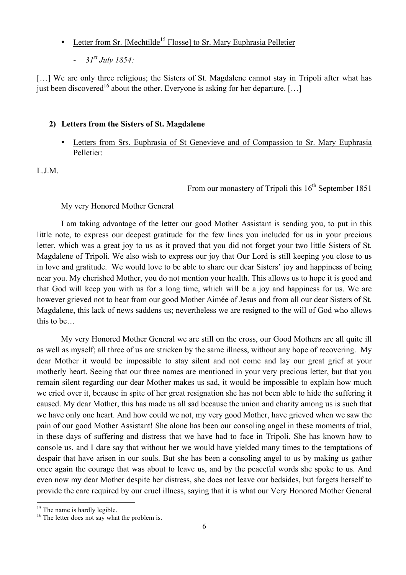- Letter from Sr. [Mechtilde<sup>15</sup> Flosse] to Sr. Mary Euphrasia Pelletier
	- *31st July 1854:*

[...] We are only three religious; the Sisters of St. Magdalene cannot stay in Tripoli after what has just been discovered<sup>16</sup> about the other. Everyone is asking for her departure. [...]

#### **2) Letters from the Sisters of St. Magdalene**

• Letters from Srs. Euphrasia of St Genevieve and of Compassion to Sr. Mary Euphrasia Pelletier:

L.J.M.

From our monastery of Tripoli this  $16<sup>th</sup>$  September 1851

My very Honored Mother General

I am taking advantage of the letter our good Mother Assistant is sending you, to put in this little note, to express our deepest gratitude for the few lines you included for us in your precious letter, which was a great joy to us as it proved that you did not forget your two little Sisters of St. Magdalene of Tripoli. We also wish to express our joy that Our Lord is still keeping you close to us in love and gratitude. We would love to be able to share our dear Sisters' joy and happiness of being near you. My cherished Mother, you do not mention your health. This allows us to hope it is good and that God will keep you with us for a long time, which will be a joy and happiness for us. We are however grieved not to hear from our good Mother Aimée of Jesus and from all our dear Sisters of St. Magdalene, this lack of news saddens us; nevertheless we are resigned to the will of God who allows this to be…

My very Honored Mother General we are still on the cross, our Good Mothers are all quite ill as well as myself; all three of us are stricken by the same illness, without any hope of recovering. My dear Mother it would be impossible to stay silent and not come and lay our great grief at your motherly heart. Seeing that our three names are mentioned in your very precious letter, but that you remain silent regarding our dear Mother makes us sad, it would be impossible to explain how much we cried over it, because in spite of her great resignation she has not been able to hide the suffering it caused. My dear Mother, this has made us all sad because the union and charity among us is such that we have only one heart. And how could we not, my very good Mother, have grieved when we saw the pain of our good Mother Assistant! She alone has been our consoling angel in these moments of trial, in these days of suffering and distress that we have had to face in Tripoli. She has known how to console us, and I dare say that without her we would have yielded many times to the temptations of despair that have arisen in our souls. But she has been a consoling angel to us by making us gather once again the courage that was about to leave us, and by the peaceful words she spoke to us. And even now my dear Mother despite her distress, she does not leave our bedsides, but forgets herself to provide the care required by our cruel illness, saying that it is what our Very Honored Mother General

<sup>&</sup>lt;sup>15</sup> The name is hardly legible.  $16 \text{ The letter does not say what the problem is.}$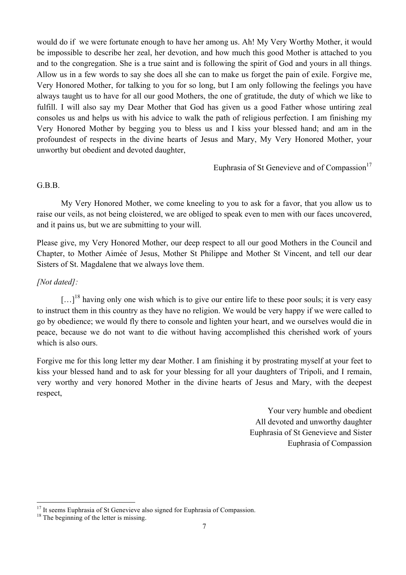would do if we were fortunate enough to have her among us. Ah! My Very Worthy Mother, it would be impossible to describe her zeal, her devotion, and how much this good Mother is attached to you and to the congregation. She is a true saint and is following the spirit of God and yours in all things. Allow us in a few words to say she does all she can to make us forget the pain of exile. Forgive me, Very Honored Mother, for talking to you for so long, but I am only following the feelings you have always taught us to have for all our good Mothers, the one of gratitude, the duty of which we like to fulfill. I will also say my Dear Mother that God has given us a good Father whose untiring zeal consoles us and helps us with his advice to walk the path of religious perfection. I am finishing my Very Honored Mother by begging you to bless us and I kiss your blessed hand; and am in the profoundest of respects in the divine hearts of Jesus and Mary, My Very Honored Mother, your unworthy but obedient and devoted daughter,

Euphrasia of St Genevieve and of Compassion $17$ 

#### G.B.B.

My Very Honored Mother, we come kneeling to you to ask for a favor, that you allow us to raise our veils, as not being cloistered, we are obliged to speak even to men with our faces uncovered, and it pains us, but we are submitting to your will.

Please give, my Very Honored Mother, our deep respect to all our good Mothers in the Council and Chapter, to Mother Aimée of Jesus, Mother St Philippe and Mother St Vincent, and tell our dear Sisters of St. Magdalene that we always love them.

# *[Not dated]:*

 $\left[\ldots\right]^{18}$  having only one wish which is to give our entire life to these poor souls; it is very easy to instruct them in this country as they have no religion. We would be very happy if we were called to go by obedience; we would fly there to console and lighten your heart, and we ourselves would die in peace, because we do not want to die without having accomplished this cherished work of yours which is also ours.

Forgive me for this long letter my dear Mother. I am finishing it by prostrating myself at your feet to kiss your blessed hand and to ask for your blessing for all your daughters of Tripoli, and I remain, very worthy and very honored Mother in the divine hearts of Jesus and Mary, with the deepest respect,

> Your very humble and obedient All devoted and unworthy daughter Euphrasia of St Genevieve and Sister Euphrasia of Compassion

<sup>&</sup>lt;sup>17</sup> It seems Euphrasia of St Genevieve also signed for Euphrasia of Compassion. <sup>18</sup> The beginning of the letter is missing.